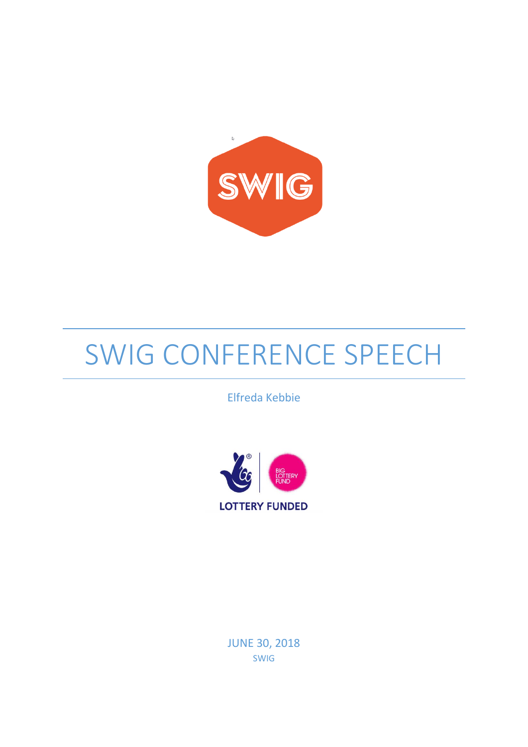

## SWIG CONFERENCE SPEECH

Elfreda Kebbie



JUNE 30, 2018 SWIG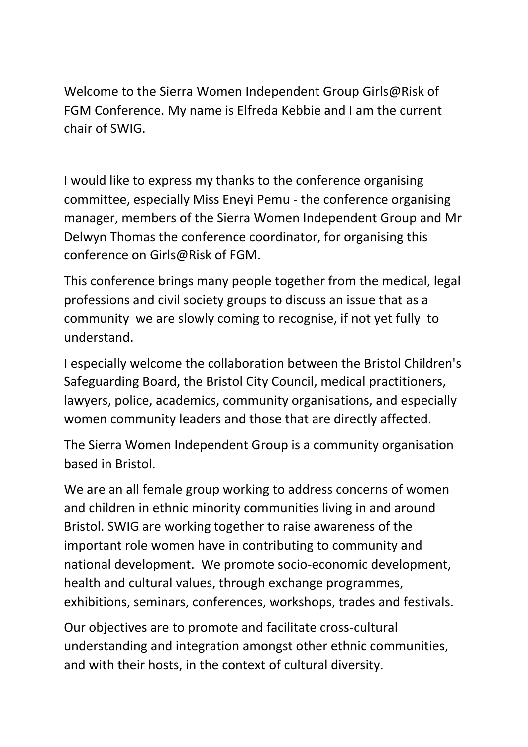Welcome to the Sierra Women Independent Group Girls@Risk of FGM Conference. My name is Elfreda Kebbie and I am the current chair of SWIG.

I would like to express my thanks to the conference organising committee, especially Miss Eneyi Pemu - the conference organising manager, members of the Sierra Women Independent Group and Mr Delwyn Thomas the conference coordinator, for organising this conference on Girls@Risk of FGM.

This conference brings many people together from the medical, legal professions and civil society groups to discuss an issue that as a community we are slowly coming to recognise, if not yet fully to understand.

I especially welcome the collaboration between the Bristol Children's Safeguarding Board, the Bristol City Council, medical practitioners, lawyers, police, academics, community organisations, and especially women community leaders and those that are directly affected.

The Sierra Women Independent Group is a community organisation based in Bristol.

We are an all female group working to address concerns of women and children in ethnic minority communities living in and around Bristol. SWIG are working together to raise awareness of the important role women have in contributing to community and national development. We promote socio-economic development, health and cultural values, through exchange programmes, exhibitions, seminars, conferences, workshops, trades and festivals.

Our objectives are to promote and facilitate cross-cultural understanding and integration amongst other ethnic communities, and with their hosts, in the context of cultural diversity.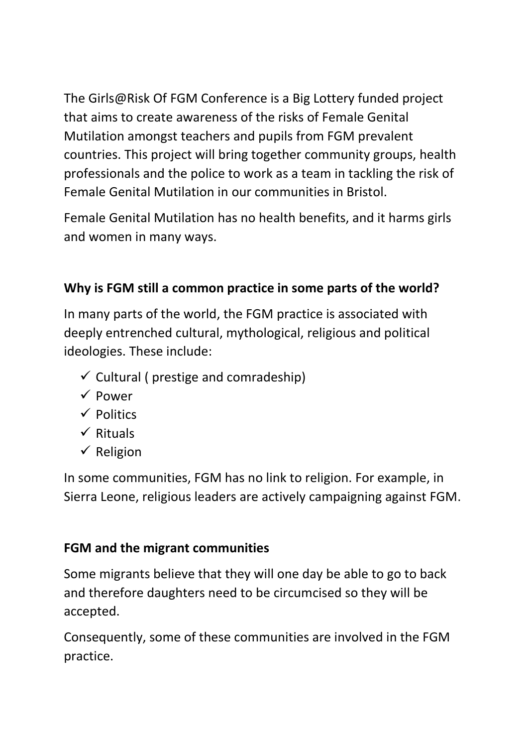The Girls@Risk Of FGM Conference is a Big Lottery funded project that aims to create awareness of the risks of Female Genital Mutilation amongst teachers and pupils from FGM prevalent countries. This project will bring together community groups, health professionals and the police to work as a team in tackling the risk of Female Genital Mutilation in our communities in Bristol.

Female Genital Mutilation has no health benefits, and it harms girls and women in many ways.

## **Why is FGM still a common practice in some parts of the world?**

In many parts of the world, the FGM practice is associated with deeply entrenched cultural, mythological, religious and political ideologies. These include:

- $\checkmark$  Cultural ( prestige and comradeship)
- $\checkmark$  Power
- $\checkmark$  Politics
- $\checkmark$  Rituals
- $\checkmark$  Religion

In some communities, FGM has no link to religion. For example, in Sierra Leone, religious leaders are actively campaigning against FGM.

## **FGM and the migrant communities**

Some migrants believe that they will one day be able to go to back and therefore daughters need to be circumcised so they will be accepted.

Consequently, some of these communities are involved in the FGM practice.